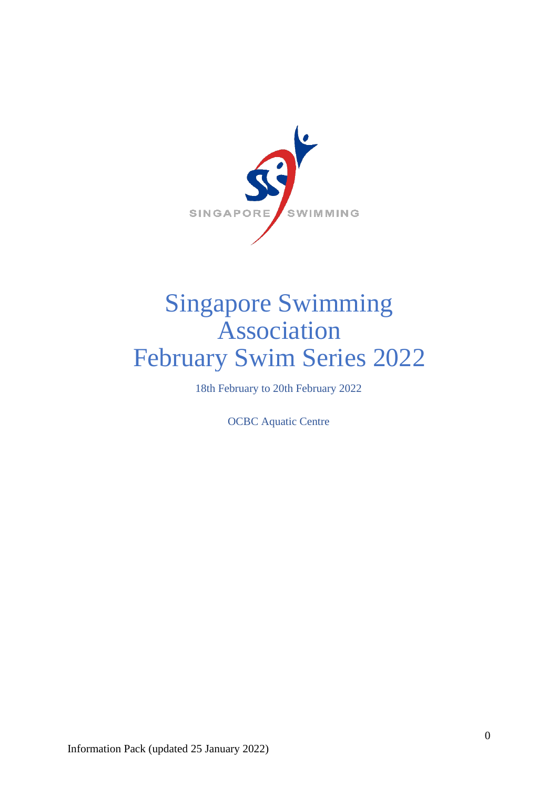

# Singapore Swimming Association February Swim Series 2022

18th February to 20th February 2022

OCBC Aquatic Centre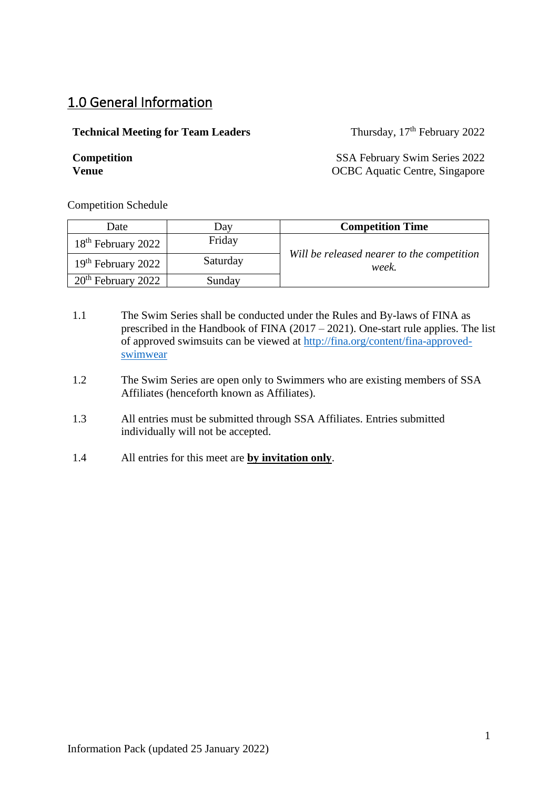# 1.0 General Information

#### **Technical Meeting for Team Leaders**

Thursday, 17<sup>th</sup> February 2022

**Competition** SSA February Swim Series 2022 **Venue** OCBC Aquatic Centre, Singapore

Competition Schedule

| Date                           | Dav      | <b>Competition Time</b>                             |
|--------------------------------|----------|-----------------------------------------------------|
| 18 <sup>th</sup> February 2022 | Friday   |                                                     |
| 19 <sup>th</sup> February 2022 | Saturday | Will be released nearer to the competition<br>week. |
| $20th$ February 2022           | Sunday   |                                                     |

- 1.1 The Swim Series shall be conducted under the Rules and By-laws of FINA as prescribed in the Handbook of FINA (2017 – 2021). One-start rule applies. The list of approved swimsuits can be viewed at [http://fina.org/content/fina-approved](http://fina.org/content/fina-approved-swimwear)[swimwear](http://fina.org/content/fina-approved-swimwear)
- 1.2 The Swim Series are open only to Swimmers who are existing members of SSA Affiliates (henceforth known as Affiliates).
- 1.3 All entries must be submitted through SSA Affiliates. Entries submitted individually will not be accepted.
- 1.4 All entries for this meet are **by invitation only**.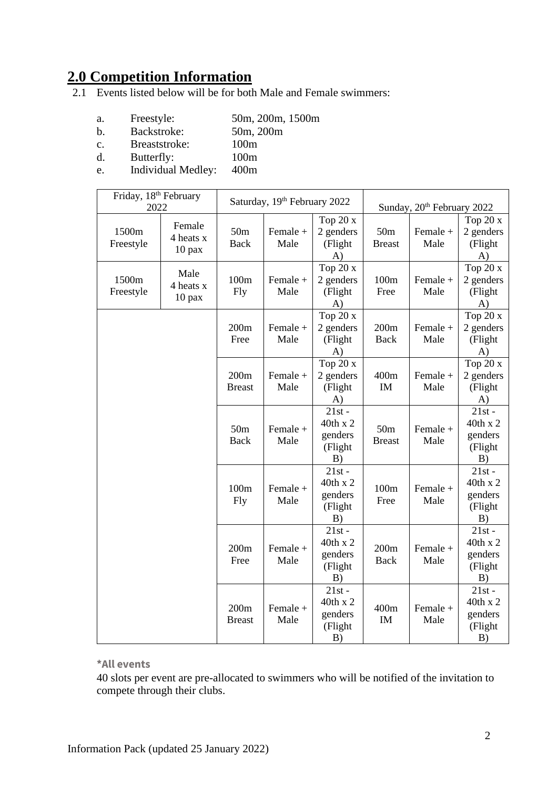# **2.0 Competition Information**

2.1 Events listed below will be for both Male and Female swimmers:

- a. Freestyle: 50m, 200m, 1500m<br>b. Backstroke: 50m, 200m
- b. Backstroke:
- c. Breaststroke: 100m
- d. Butterfly: 100m
- e. Individual Medley: 400m

| Friday, 18 <sup>th</sup> February<br>2022 |                                 | Saturday, 19th February 2022   |                  | Sunday, 20 <sup>th</sup> February 2022           |                                  |                  |                                                  |
|-------------------------------------------|---------------------------------|--------------------------------|------------------|--------------------------------------------------|----------------------------------|------------------|--------------------------------------------------|
| 1500m<br>Freestyle                        | Female<br>4 heats x<br>$10$ pax | 50 <sub>m</sub><br>Back        | Female +<br>Male | Top 20 x<br>2 genders<br>(Flight<br>A)           | 50 <sub>m</sub><br><b>Breast</b> | Female +<br>Male | Top $20x$<br>2 genders<br>(Flight<br>A)          |
| 1500m<br>Freestyle                        | Male<br>4 heats x<br>$10$ pax   | 100m<br><b>Fly</b>             | Female +<br>Male | Top 20 x<br>2 genders<br>(Flight<br>A)           | 100m<br>Free                     | Female +<br>Male | Top 20 x<br>2 genders<br>(Flight<br>A)           |
|                                           |                                 | 200m<br>Free                   | Female +<br>Male | Top 20 x<br>2 genders<br>(Flight<br>A)           | 200m<br><b>Back</b>              | Female +<br>Male | Top 20 x<br>2 genders<br>(Flight<br>A)           |
|                                           |                                 | 200m<br><b>Breast</b>          | Female +<br>Male | Top 20 x<br>2 genders<br>(Flight<br>A)           | 400m<br>IM                       | Female +<br>Male | Top 20 x<br>2 genders<br>(Flight<br>A)           |
|                                           |                                 | 50 <sub>m</sub><br><b>Back</b> | Female +<br>Male | $21st -$<br>40th x 2<br>genders<br>(Flight<br>B) | 50 <sub>m</sub><br><b>Breast</b> | Female +<br>Male | $21st -$<br>40th x 2<br>genders<br>(Flight<br>B) |
|                                           |                                 | 100m<br><b>Fly</b>             | Female +<br>Male | $21st -$<br>40th x 2<br>genders<br>(Flight<br>B) | 100m<br>Free                     | Female +<br>Male | $21st -$<br>40th x 2<br>genders<br>(Flight<br>B) |
|                                           |                                 | 200m<br>Free                   | Female +<br>Male | $21st -$<br>40th x 2<br>genders<br>(Flight<br>B) | 200m<br><b>Back</b>              | Female +<br>Male | $21st -$<br>40th x 2<br>genders<br>(Flight<br>B) |
|                                           |                                 | 200m<br><b>Breast</b>          | Female +<br>Male | $21st -$<br>40th x 2<br>genders<br>(Flight<br>B) | 400m<br>IM                       | Female +<br>Male | $21st -$<br>40th x 2<br>genders<br>(Flight<br>B) |

**\*All events**

40 slots per event are pre-allocated to swimmers who will be notified of the invitation to compete through their clubs.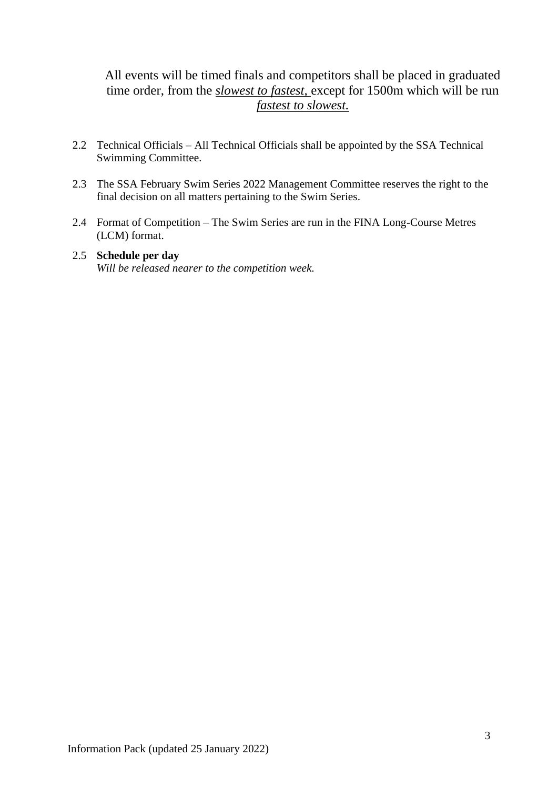## All events will be timed finals and competitors shall be placed in graduated time order, from the *slowest to fastest,* except for 1500m which will be run *fastest to slowest.*

- 2.2 Technical Officials All Technical Officials shall be appointed by the SSA Technical Swimming Committee.
- 2.3 The SSA February Swim Series 2022 Management Committee reserves the right to the final decision on all matters pertaining to the Swim Series.
- 2.4 Format of Competition The Swim Series are run in the FINA Long-Course Metres (LCM) format.

#### 2.5 **Schedule per day** *Will be released nearer to the competition week.*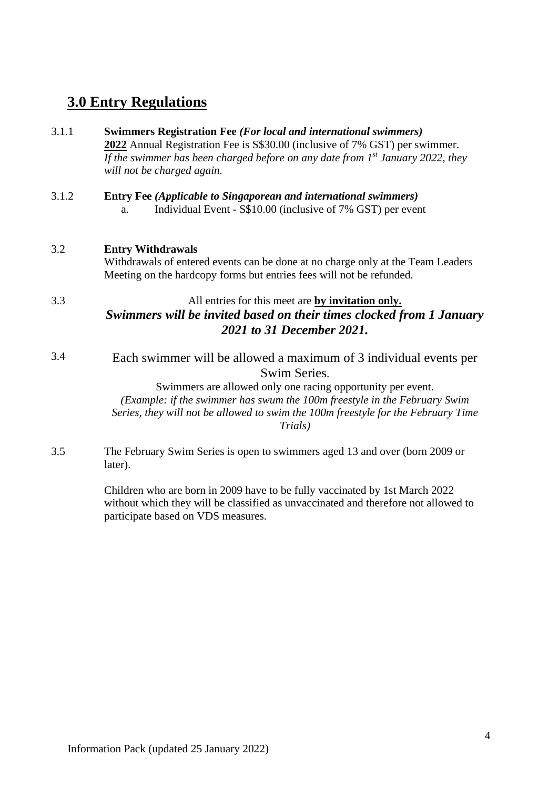# **3.0 Entry Regulations**

| 3.1.1 | <b>Swimmers Registration Fee (For local and international swimmers)</b><br>2022 Annual Registration Fee is S\$30.00 (inclusive of 7% GST) per swimmer.<br>If the swimmer has been charged before on any date from $1^{st}$ January 2022, they<br>will not be charged again.                                                   |
|-------|-------------------------------------------------------------------------------------------------------------------------------------------------------------------------------------------------------------------------------------------------------------------------------------------------------------------------------|
| 3.1.2 | <b>Entry Fee (Applicable to Singaporean and international swimmers)</b><br>Individual Event - S\$10.00 (inclusive of 7% GST) per event<br>a.                                                                                                                                                                                  |
| 3.2   | <b>Entry Withdrawals</b><br>Withdrawals of entered events can be done at no charge only at the Team Leaders<br>Meeting on the hardcopy forms but entries fees will not be refunded.                                                                                                                                           |
| 3.3   | All entries for this meet are by invitation only.<br>Swimmers will be invited based on their times clocked from 1 January<br>2021 to 31 December 2021.                                                                                                                                                                        |
| 3.4   | Each swimmer will be allowed a maximum of 3 individual events per<br>Swim Series.<br>Swimmers are allowed only one racing opportunity per event.<br>(Example: if the swimmer has swum the 100m freestyle in the February Swim<br>Series, they will not be allowed to swim the 100m freestyle for the February Time<br>Trials) |
| 3.5   | The February Swim Series is open to swimmers aged 13 and over (born 2009 or<br>later).                                                                                                                                                                                                                                        |

Children who are born in 2009 have to be fully vaccinated by 1st March 2022 without which they will be classified as unvaccinated and therefore not allowed to participate based on VDS measures.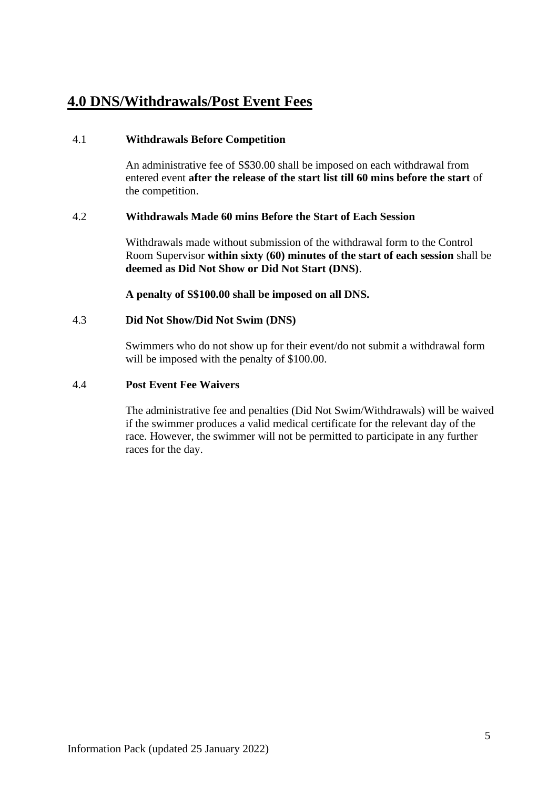# **4.0 DNS/Withdrawals/Post Event Fees**

#### 4.1 **Withdrawals Before Competition**

An administrative fee of S\$30.00 shall be imposed on each withdrawal from entered event **after the release of the start list till 60 mins before the start** of the competition.

#### 4.2 **Withdrawals Made 60 mins Before the Start of Each Session**

Withdrawals made without submission of the withdrawal form to the Control Room Supervisor **within sixty (60) minutes of the start of each session** shall be **deemed as Did Not Show or Did Not Start (DNS)**.

**A penalty of S\$100.00 shall be imposed on all DNS.**

#### 4.3 **Did Not Show/Did Not Swim (DNS)**

Swimmers who do not show up for their event/do not submit a withdrawal form will be imposed with the penalty of \$100.00.

#### 4.4 **Post Event Fee Waivers**

The administrative fee and penalties (Did Not Swim/Withdrawals) will be waived if the swimmer produces a valid medical certificate for the relevant day of the race. However, the swimmer will not be permitted to participate in any further races for the day.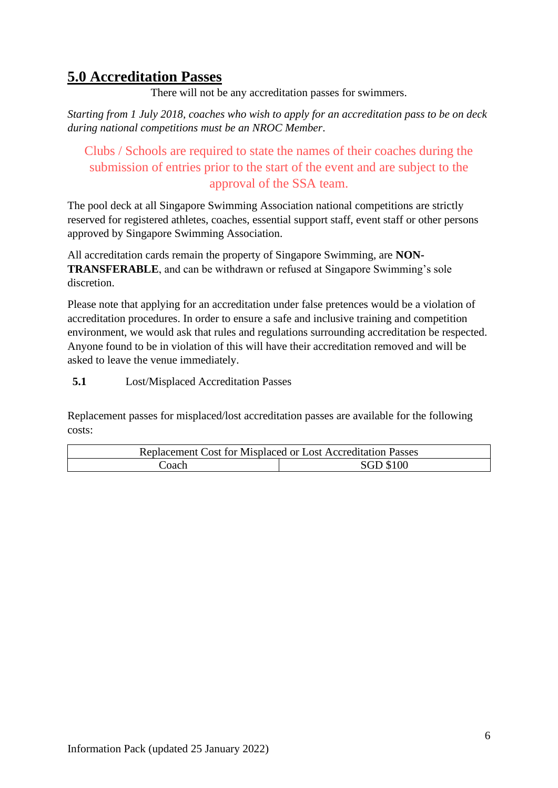# **5.0 Accreditation Passes**

There will not be any accreditation passes for swimmers.

*Starting from 1 July 2018, coaches who wish to apply for an accreditation pass to be on deck during national competitions must be an NROC Member*.

# Clubs / Schools are required to state the names of their coaches during the submission of entries prior to the start of the event and are subject to the approval of the SSA team.

The pool deck at all Singapore Swimming Association national competitions are strictly reserved for registered athletes, coaches, essential support staff, event staff or other persons approved by Singapore Swimming Association.

All accreditation cards remain the property of Singapore Swimming, are **NON-TRANSFERABLE**, and can be withdrawn or refused at Singapore Swimming's sole discretion.

Please note that applying for an accreditation under false pretences would be a violation of accreditation procedures. In order to ensure a safe and inclusive training and competition environment, we would ask that rules and regulations surrounding accreditation be respected. Anyone found to be in violation of this will have their accreditation removed and will be asked to leave the venue immediately.

**5.1** Lost/Misplaced Accreditation Passes

Replacement passes for misplaced/lost accreditation passes are available for the following costs:

| Replacement Cost for Misplaced or Lost Accreditation Passes |                  |  |
|-------------------------------------------------------------|------------------|--|
| .'oach                                                      | <b>SGD \$100</b> |  |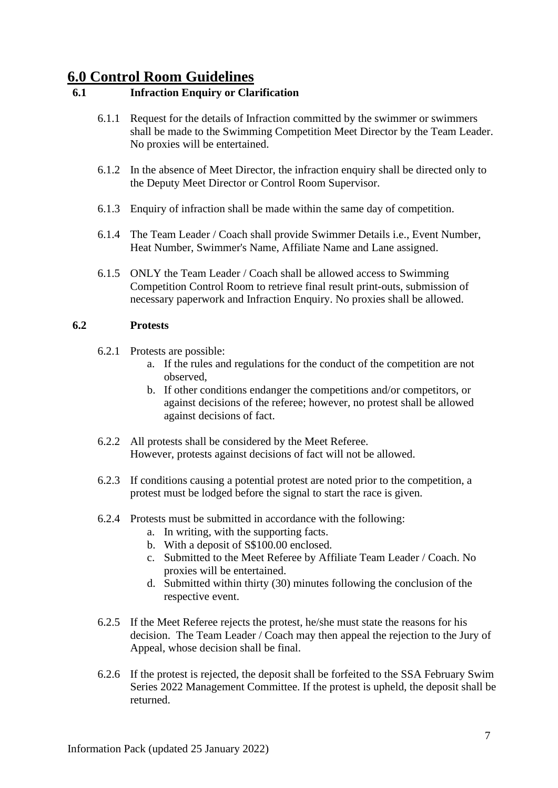# **6.0 Control Room Guidelines**

### **6.1 Infraction Enquiry or Clarification**

- 6.1.1 Request for the details of Infraction committed by the swimmer or swimmers shall be made to the Swimming Competition Meet Director by the Team Leader. No proxies will be entertained.
- 6.1.2 In the absence of Meet Director, the infraction enquiry shall be directed only to the Deputy Meet Director or Control Room Supervisor.
- 6.1.3 Enquiry of infraction shall be made within the same day of competition.
- 6.1.4 The Team Leader / Coach shall provide Swimmer Details i.e., Event Number, Heat Number, Swimmer's Name, Affiliate Name and Lane assigned.
- 6.1.5 ONLY the Team Leader / Coach shall be allowed access to Swimming Competition Control Room to retrieve final result print-outs, submission of necessary paperwork and Infraction Enquiry. No proxies shall be allowed.

#### **6.2 Protests**

- 6.2.1 Protests are possible:
	- a. If the rules and regulations for the conduct of the competition are not observed,
	- b. If other conditions endanger the competitions and/or competitors, or against decisions of the referee; however, no protest shall be allowed against decisions of fact.
- 6.2.2 All protests shall be considered by the Meet Referee. However, protests against decisions of fact will not be allowed.
- 6.2.3 If conditions causing a potential protest are noted prior to the competition, a protest must be lodged before the signal to start the race is given.
- 6.2.4 Protests must be submitted in accordance with the following:
	- a. In writing, with the supporting facts.
	- b. With a deposit of S\$100.00 enclosed.
	- c. Submitted to the Meet Referee by Affiliate Team Leader / Coach. No proxies will be entertained.
	- d. Submitted within thirty (30) minutes following the conclusion of the respective event.
- 6.2.5 If the Meet Referee rejects the protest, he/she must state the reasons for his decision. The Team Leader / Coach may then appeal the rejection to the Jury of Appeal, whose decision shall be final.
- 6.2.6 If the protest is rejected, the deposit shall be forfeited to the SSA February Swim Series 2022 Management Committee. If the protest is upheld, the deposit shall be returned.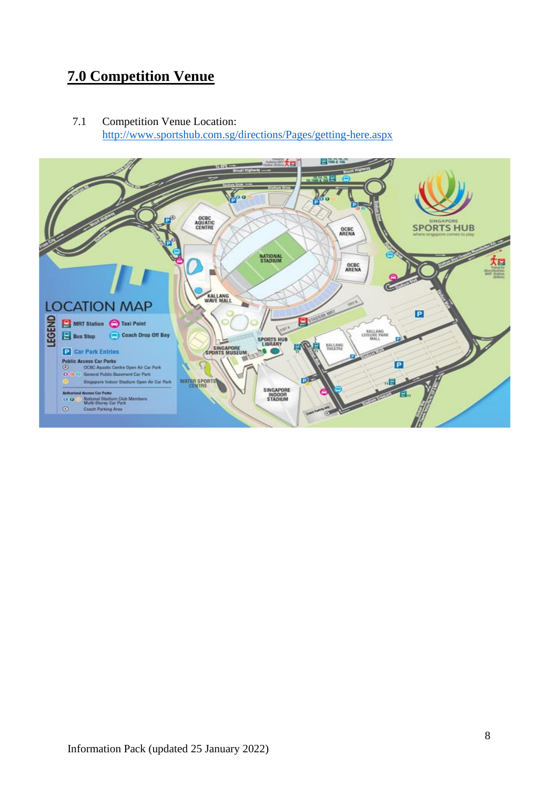# **7.0 Competition Venue**

7.1 Competition Venue Location: <http://www.sportshub.com.sg/directions/Pages/getting-here.aspx>

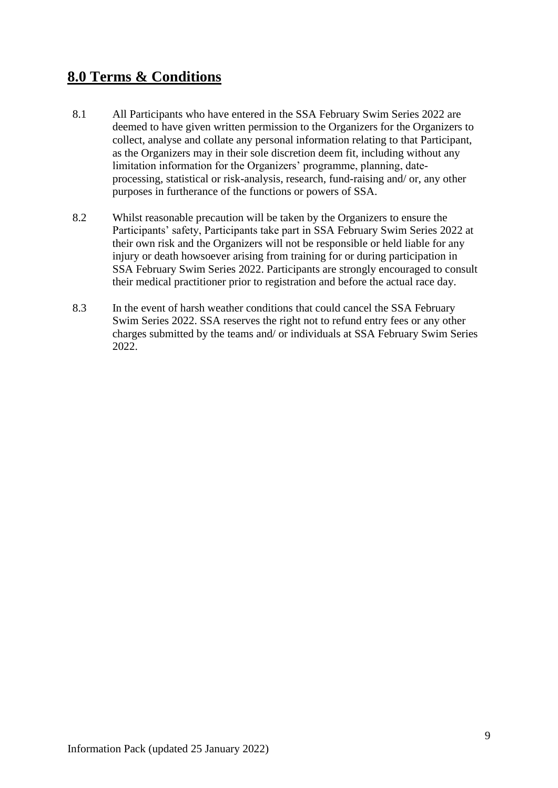# **8.0 Terms & Conditions**

- 8.1 All Participants who have entered in the SSA February Swim Series 2022 are deemed to have given written permission to the Organizers for the Organizers to collect, analyse and collate any personal information relating to that Participant, as the Organizers may in their sole discretion deem fit, including without any limitation information for the Organizers' programme, planning, dateprocessing, statistical or risk-analysis, research, fund-raising and/ or, any other purposes in furtherance of the functions or powers of SSA.
- 8.2 Whilst reasonable precaution will be taken by the Organizers to ensure the Participants' safety, Participants take part in SSA February Swim Series 2022 at their own risk and the Organizers will not be responsible or held liable for any injury or death howsoever arising from training for or during participation in SSA February Swim Series 2022. Participants are strongly encouraged to consult their medical practitioner prior to registration and before the actual race day.
- 8.3 In the event of harsh weather conditions that could cancel the SSA February Swim Series 2022. SSA reserves the right not to refund entry fees or any other charges submitted by the teams and/ or individuals at SSA February Swim Series 2022.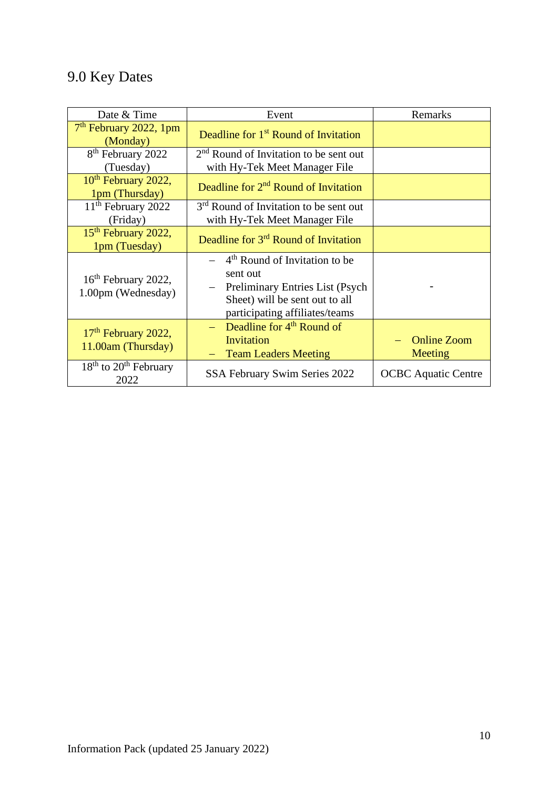# 9.0 Key Dates

| Date & Time                                           | Event                                                                                                                                                                                        | Remarks                       |  |
|-------------------------------------------------------|----------------------------------------------------------------------------------------------------------------------------------------------------------------------------------------------|-------------------------------|--|
| $7th$ February 2022, 1pm<br>(Monday)                  | Deadline for 1 <sup>st</sup> Round of Invitation                                                                                                                                             |                               |  |
| 8 <sup>th</sup> February 2022                         | 2 <sup>nd</sup> Round of Invitation to be sent out                                                                                                                                           |                               |  |
| (Tuesday)                                             | with Hy-Tek Meet Manager File                                                                                                                                                                |                               |  |
| 10 <sup>th</sup> February 2022,<br>1pm (Thursday)     | Deadline for 2 <sup>nd</sup> Round of Invitation                                                                                                                                             |                               |  |
| 11 <sup>th</sup> February 2022                        | 3 <sup>rd</sup> Round of Invitation to be sent out                                                                                                                                           |                               |  |
| (Friday)                                              | with Hy-Tek Meet Manager File                                                                                                                                                                |                               |  |
| 15 <sup>th</sup> February 2022,<br>1pm (Tuesday)      | Deadline for 3 <sup>rd</sup> Round of Invitation                                                                                                                                             |                               |  |
| 16 <sup>th</sup> February 2022,<br>1.00pm (Wednesday) | $-$ 4 <sup>th</sup> Round of Invitation to be<br>sent out<br>Preliminary Entries List (Psych<br>$\overline{\phantom{0}}$<br>Sheet) will be sent out to all<br>participating affiliates/teams |                               |  |
| 17 <sup>th</sup> February 2022,<br>11.00am (Thursday) | - Deadline for $4^{th}$ Round of<br>Invitation<br><b>Team Leaders Meeting</b><br>$\qquad \qquad -$                                                                                           | <b>Online Zoom</b><br>Meeting |  |
| $18th$ to $20th$ February<br>2022                     | SSA February Swim Series 2022                                                                                                                                                                | <b>OCBC</b> Aquatic Centre    |  |